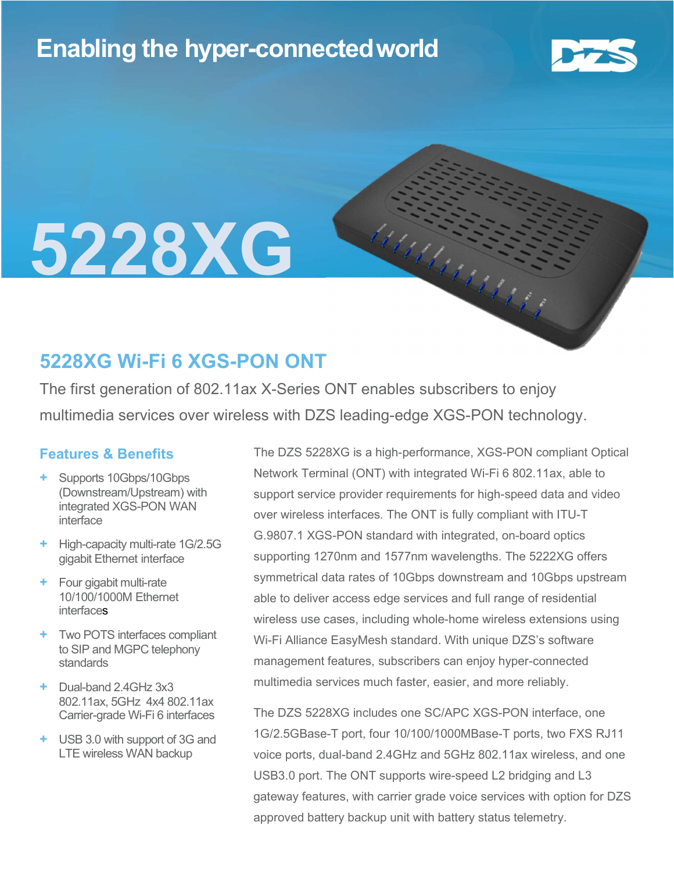## Enabling the hyper-connectedworld



# 5228XG

### 5228XG Wi-Fi 6 XGS-PON ONT

The first generation of 802.11ax X-Series ONT enables subscribers to enjoy multimedia services over wireless with DZS leading-edge XGS-PON technology.

#### Features & Benefits

- Supports 10Gbps/10Gbps (Downstream/Upstream) with integrated XGS-PON WAN interface
- + High-capacity multi-rate 1G/2.5G gigabit Ethernet interface
- + Four gigabit multi-rate 10/100/1000M Ethernet **interfaces**
- + Two POTS interfaces compliant to SIP and MGPC telephony standards
- + Dual-band 2.4GHz 3x3 802.11ax, 5GHz 4x4 802.11ax Carrier-grade Wi-Fi 6 interfaces
- + USB 3.0 with support of 3G and LTE wireless WAN backup

The DZS 5228XG is a high-performance, XGS-PON compliant Optical Network Terminal (ONT) with integrated Wi-Fi 6 802.11ax, able to support service provider requirements for high-speed data and video over wireless interfaces. The ONT is fully compliant with ITU-T G.9807.1 XGS-PON standard with integrated, on-board optics supporting 1270nm and 1577nm wavelengths. The 5222XG offers symmetrical data rates of 10Gbps downstream and 10Gbps upstream able to deliver access edge services and full range of residential wireless use cases, including whole-home wireless extensions using Wi-Fi Alliance EasyMesh standard. With unique DZS's software management features, subscribers can enjoy hyper-connected multimedia services much faster, easier, and more reliably.

MANUNGARY S

The DZS 5228XG includes one SC/APC XGS-PON interface, one 1G/2.5GBase-T port, four 10/100/1000MBase-T ports, two FXS RJ11 voice ports, dual-band 2.4GHz and 5GHz 802.11ax wireless, and one USB3.0 port. The ONT supports wire-speed L2 bridging and L3 gateway features, with carrier grade voice services with option for DZS approved battery backup unit with battery status telemetry.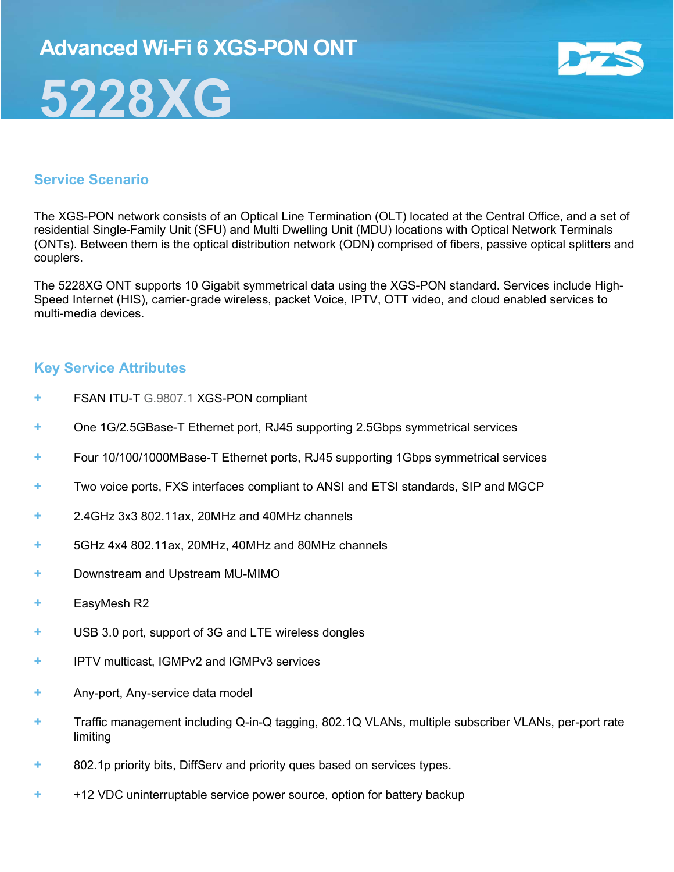

#### Service Scenario

The XGS-PON network consists of an Optical Line Termination (OLT) located at the Central Office, and a set of residential Single-Family Unit (SFU) and Multi Dwelling Unit (MDU) locations with Optical Network Terminals (ONTs). Between them is the optical distribution network (ODN) comprised of fibers, passive optical splitters and couplers.

The 5228XG ONT supports 10 Gigabit symmetrical data using the XGS-PON standard. Services include High-Speed Internet (HIS), carrier-grade wireless, packet Voice, IPTV, OTT video, and cloud enabled services to multi-media devices.

#### Key Service Attributes

- + FSAN ITU-T G.9807.1 XGS-PON compliant
- + One 1G/2.5GBase-T Ethernet port, RJ45 supporting 2.5Gbps symmetrical services
- + Four 10/100/1000MBase-T Ethernet ports, RJ45 supporting 1Gbps symmetrical services
- + Two voice ports, FXS interfaces compliant to ANSI and ETSI standards, SIP and MGCP
- + 2.4GHz 3x3 802.11ax, 20MHz and 40MHz channels
- + 5GHz 4x4 802.11ax, 20MHz, 40MHz and 80MHz channels
- Downstream and Upstream MU-MIMO
- + EasyMesh R2
- + USB 3.0 port, support of 3G and LTE wireless dongles
- + IPTV multicast, IGMPv2 and IGMPv3 services
- + Any-port, Any-service data model
- + Traffic management including Q-in-Q tagging, 802.1Q VLANs, multiple subscriber VLANs, per-port rate limiting
- + 802.1p priority bits, DiffServ and priority ques based on services types.
- + +12 VDC uninterruptable service power source, option for battery backup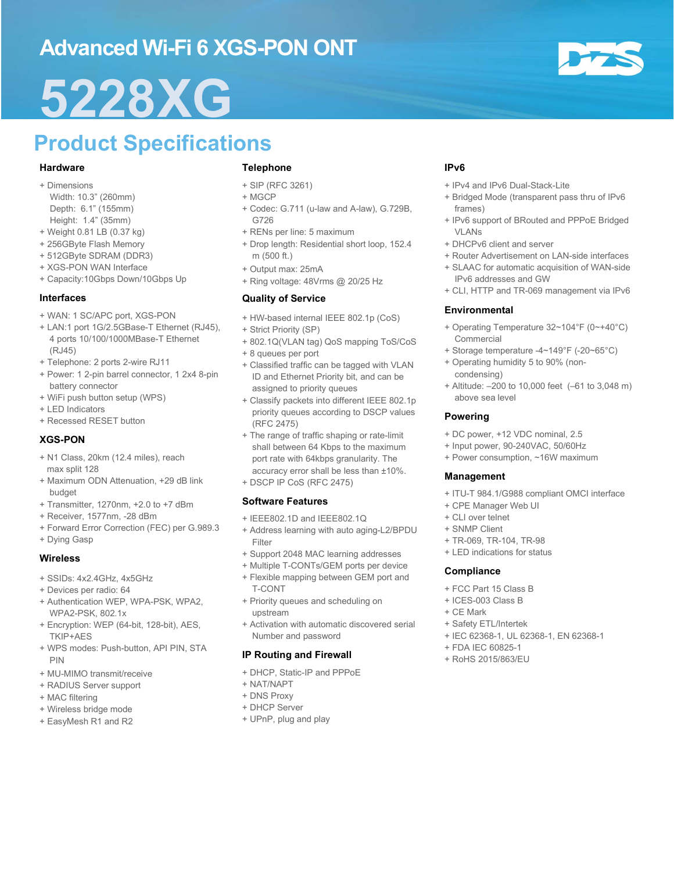## Advanced Wi-Fi 6 XGS-PON ONT

## 5228XG

## Product Specifications

#### Hardware

- + Dimensions
- Width: 10.3" (260mm) Depth: 6.1" (155mm) Height: 1.4" (35mm)
- + Weight 0.81 LB (0.37 kg)
- + 256GByte Flash Memory
- + 512GByte SDRAM (DDR3)
- + XGS-PON WAN Interface
- + Capacity:10Gbps Down/10Gbps Up

#### Interfaces

- + WAN: 1 SC/APC port, XGS-PON
- + LAN:1 port 1G/2.5GBase-T Ethernet (RJ45), 4 ports 10/100/1000MBase-T Ethernet (RJ45)
- + Telephone: 2 ports 2-wire RJ11
- + Power: 1 2-pin barrel connector, 1 2x4 8-pin battery connector
- + WiFi push button setup (WPS)
- + LED Indicators
- + Recessed RESET button

#### XGS-PON

- + N1 Class, 20km (12.4 miles), reach max split 128
- + Maximum ODN Attenuation, +29 dB link budget
- + Transmitter, 1270nm, +2.0 to +7 dBm
- + Receiver, 1577nm, -28 dBm
- + Forward Error Correction (FEC) per G.989.3
- + Dying Gasp

#### Wireless

- + SSIDs: 4x2.4GHz, 4x5GHz
- + Devices per radio: 64
- + Authentication WEP, WPA-PSK, WPA2, WPA2-PSK, 802.1x
- + Encryption: WEP (64-bit, 128-bit), AES, TKIP+AES
- + WPS modes: Push-button, API PIN, STA PIN
- + MU-MIMO transmit/receive
- + RADIUS Server support
- + MAC filtering
- + Wireless bridge mode
- + EasyMesh R1 and R2

#### Telephone

- + SIP (RFC 3261)
- + MGCP
- + Codec: G.711 (u-law and A-law), G.729B, G726
- + RENs per line: 5 maximum
- + Drop length: Residential short loop, 152.4 m (500 ft.)
- + Output max: 25mA
- + Ring voltage: 48Vrms @ 20/25 Hz

#### Quality of Service

- + HW-based internal IEEE 802.1p (CoS)
- + Strict Priority (SP)
- + 802.1Q(VLAN tag) QoS mapping ToS/CoS
- + 8 queues per port
- + Classified traffic can be tagged with VLAN ID and Ethernet Priority bit, and can be assigned to priority queues
- + Classify packets into different IEEE 802.1p priority queues according to DSCP values (RFC 2475)
- + The range of traffic shaping or rate-limit shall between 64 Kbps to the maximum port rate with 64kbps granularity. The accuracy error shall be less than ±10%.
- + DSCP IP CoS (RFC 2475)

#### Software Features

- $+$  IEEE802.1D and IEEE802.1Q
- + Address learning with auto aging-L2/BPDU Filter
- + Support 2048 MAC learning addresses
- + Multiple T-CONTs/GEM ports per device + Flexible mapping between GEM port and
- T-CONT + Priority queues and scheduling on upstream
- + Activation with automatic discovered serial Number and password

#### IP Routing and Firewall

- + DHCP, Static-IP and PPPoE
- + NAT/NAPT
- + DNS Proxy
- + DHCP Server
- + UPnP, plug and play

#### IPv6

- + IPv4 and IPv6 Dual-Stack-Lite
- + Bridged Mode (transparent pass thru of IPv6 frames)
- + IPv6 support of BRouted and PPPoE Bridged VLANs
- + DHCPv6 client and server
- + Router Advertisement on LAN-side interfaces
- + SLAAC for automatic acquisition of WAN-side IPv6 addresses and GW
- + CLI, HTTP and TR-069 management via IPv6

#### Environmental

- + Operating Temperature 32~104°F (0~+40°C) Commercial
- + Storage temperature -4~149°F (-20~65°C)
- + Operating humidity 5 to 90% (noncondensing)
- + Altitude: –200 to 10,000 feet (–61 to 3,048 m) above sea level

#### Powering

- + DC power, +12 VDC nominal, 2.5
- + Input power, 90-240VAC, 50/60Hz
- + Power consumption, ~16W maximum

#### Management

- + ITU-T 984.1/G988 compliant OMCI interface
- + CPE Manager Web UI
- + CLI over telnet
- + SNMP Client
- + TR-069, TR-104, TR-98
- + LED indications for status

#### **Compliance**

- + FCC Part 15 Class B
- + ICES-003 Class B
- + CE Mark
- + Safety ETL/Intertek
- + IEC 62368-1, UL 62368-1, EN 62368-1
- + FDA IEC 60825-1
- + RoHS 2015/863/EU